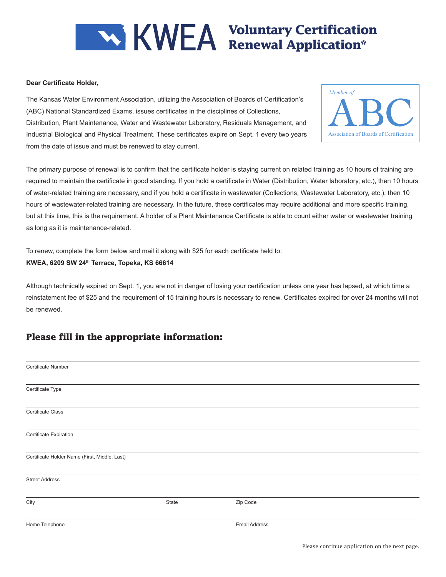# **Voluntary Certification Renewal Application\***

#### **Dear Certificate Holder,**

The Kansas Water Environment Association, utilizing the Association of Boards of Certification's (ABC) National Standardized Exams, issues certificates in the disciplines of Collections, Distribution, Plant Maintenance, Water and Wastewater Laboratory, Residuals Management, and Industrial Biological and Physical Treatment. These certificates expire on Sept. 1 every two years from the date of issue and must be renewed to stay current.



The primary purpose of renewal is to confirm that the certificate holder is staying current on related training as 10 hours of training are required to maintain the certificate in good standing. If you hold a certificate in Water (Distribution, Water laboratory, etc.), then 10 hours of water-related training are necessary, and if you hold a certificate in wastewater (Collections, Wastewater Laboratory, etc.), then 10 hours of wastewater-related training are necessary. In the future, these certificates may require additional and more specific training, but at this time, this is the requirement. A holder of a Plant Maintenance Certificate is able to count either water or wastewater training as long as it is maintenance-related.

To renew, complete the form below and mail it along with \$25 for each certificate held to:

#### **KWEA, 6209 SW 24th Terrace, Topeka, KS 66614**

Although technically expired on Sept. 1, you are not in danger of losing your certification unless one year has lapsed, at which time a reinstatement fee of \$25 and the requirement of 15 training hours is necessary to renew. Certificates expired for over 24 months will not be renewed.

### **Please fill in the appropriate information:**

| Certificate Number                            |       |                      |  |
|-----------------------------------------------|-------|----------------------|--|
|                                               |       |                      |  |
|                                               |       |                      |  |
| Certificate Type                              |       |                      |  |
|                                               |       |                      |  |
|                                               |       |                      |  |
| <b>Certificate Class</b>                      |       |                      |  |
|                                               |       |                      |  |
|                                               |       |                      |  |
| Certificate Expiration                        |       |                      |  |
|                                               |       |                      |  |
|                                               |       |                      |  |
| Certificate Holder Name (First, Middle, Last) |       |                      |  |
|                                               |       |                      |  |
|                                               |       |                      |  |
| <b>Street Address</b>                         |       |                      |  |
|                                               |       |                      |  |
|                                               |       |                      |  |
| City                                          | State | Zip Code             |  |
|                                               |       |                      |  |
|                                               |       |                      |  |
| Home Telephone                                |       | <b>Email Address</b> |  |
|                                               |       |                      |  |
|                                               |       |                      |  |